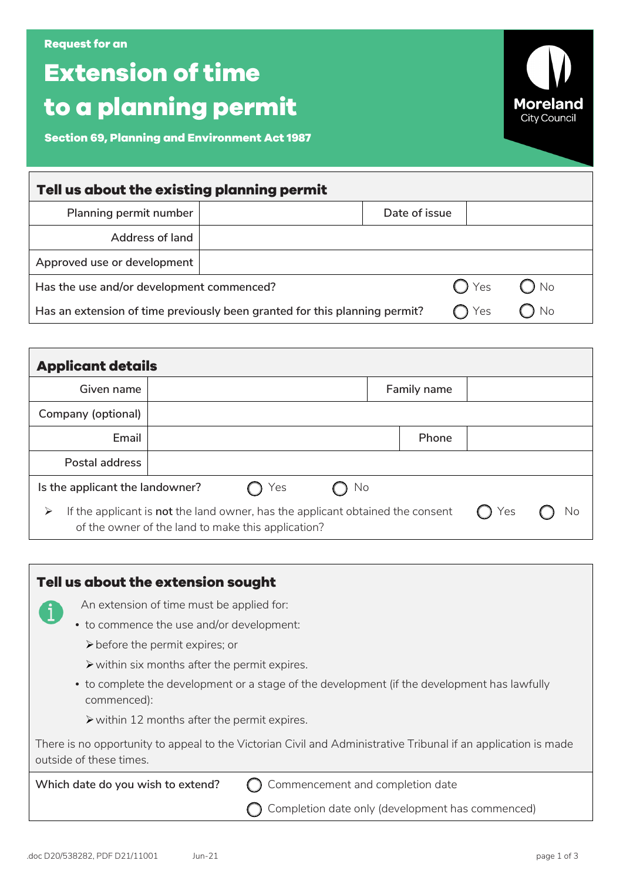| Request for an! |  |  |
|-----------------|--|--|
|                 |  |  |

## **Extension of time to a planning permit**

**Section 69, Planning and Environment Act 1987**

| Tell us about the existing planning permit                                 |  |               |               |               |  |  |
|----------------------------------------------------------------------------|--|---------------|---------------|---------------|--|--|
| Planning permit number                                                     |  | Date of issue |               |               |  |  |
| <b>Address of land</b>                                                     |  |               |               |               |  |  |
| Approved use or development                                                |  |               |               |               |  |  |
| Has the use and/or development commenced?                                  |  |               | $\bigcap$ Yes | $\bigcirc$ No |  |  |
| Has an extension of time previously been granted for this planning permit? |  |               | Yes           | No            |  |  |

| <b>Applicant details</b>                                                                                                                  |  |     |    |  |             |    |  |  |
|-------------------------------------------------------------------------------------------------------------------------------------------|--|-----|----|--|-------------|----|--|--|
| Given name                                                                                                                                |  |     |    |  | Family name |    |  |  |
| Company (optional)                                                                                                                        |  |     |    |  |             |    |  |  |
| Email                                                                                                                                     |  |     |    |  | Phone       |    |  |  |
| Postal address                                                                                                                            |  |     |    |  |             |    |  |  |
| Is the applicant the landowner?                                                                                                           |  | Yes | No |  |             |    |  |  |
| If the applicant is not the land owner, has the applicant obtained the consent<br>➤<br>of the owner of the land to make this application? |  |     |    |  | Yes         | Νo |  |  |

|                                                                                                                                           | Tell us about the extension sought                           |                                                                                              |  |  |
|-------------------------------------------------------------------------------------------------------------------------------------------|--------------------------------------------------------------|----------------------------------------------------------------------------------------------|--|--|
|                                                                                                                                           | An extension of time must be applied for:                    |                                                                                              |  |  |
|                                                                                                                                           | • to commence the use and/or development:                    |                                                                                              |  |  |
|                                                                                                                                           | $\triangleright$ before the permit expires; or               |                                                                                              |  |  |
|                                                                                                                                           | $\triangleright$ within six months after the permit expires. |                                                                                              |  |  |
|                                                                                                                                           | commenced):                                                  | • to complete the development or a stage of the development (if the development has lawfully |  |  |
|                                                                                                                                           | $\triangleright$ within 12 months after the permit expires.  |                                                                                              |  |  |
| There is no opportunity to appeal to the Victorian Civil and Administrative Tribunal if an application is made<br>outside of these times. |                                                              |                                                                                              |  |  |
|                                                                                                                                           | Which date do you wish to extend?                            | Commencement and completion date                                                             |  |  |
|                                                                                                                                           |                                                              | Completion date only (development has commenced)                                             |  |  |

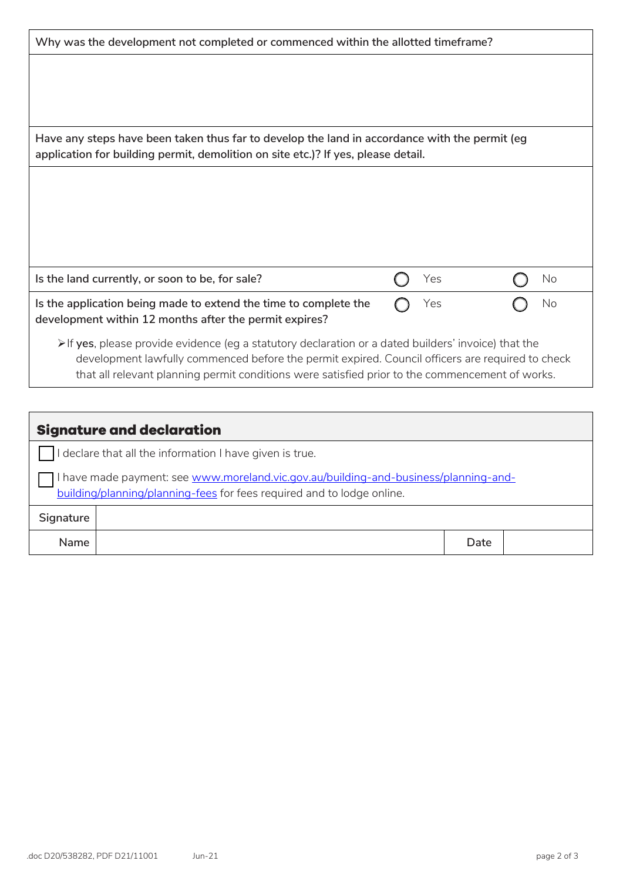| Why was the development not completed or commenced within the allotted timeframe?                                                                                                                                                                                                                                          |  |     |  |    |  |
|----------------------------------------------------------------------------------------------------------------------------------------------------------------------------------------------------------------------------------------------------------------------------------------------------------------------------|--|-----|--|----|--|
|                                                                                                                                                                                                                                                                                                                            |  |     |  |    |  |
|                                                                                                                                                                                                                                                                                                                            |  |     |  |    |  |
|                                                                                                                                                                                                                                                                                                                            |  |     |  |    |  |
| Have any steps have been taken thus far to develop the land in accordance with the permit (eg<br>application for building permit, demolition on site etc.)? If yes, please detail.                                                                                                                                         |  |     |  |    |  |
|                                                                                                                                                                                                                                                                                                                            |  |     |  |    |  |
|                                                                                                                                                                                                                                                                                                                            |  |     |  |    |  |
|                                                                                                                                                                                                                                                                                                                            |  |     |  |    |  |
|                                                                                                                                                                                                                                                                                                                            |  |     |  |    |  |
| Is the land currently, or soon to be, for sale?                                                                                                                                                                                                                                                                            |  | Yes |  | No |  |
| Is the application being made to extend the time to complete the<br>development within 12 months after the permit expires?                                                                                                                                                                                                 |  | Yes |  | No |  |
| $\triangleright$ If yes, please provide evidence (eg a statutory declaration or a dated builders' invoice) that the<br>development lawfully commenced before the permit expired. Council officers are required to check<br>that all relevant planning permit conditions were satisfied prior to the commencement of works. |  |     |  |    |  |

| <b>Signature and declaration</b>                                                                                                                               |  |      |  |  |
|----------------------------------------------------------------------------------------------------------------------------------------------------------------|--|------|--|--|
| I declare that all the information I have given is true.                                                                                                       |  |      |  |  |
| I have made payment: see www.moreland.vic.gov.au/building-and-business/planning-and-<br>building/planning/planning-fees for fees required and to lodge online. |  |      |  |  |
| Signature                                                                                                                                                      |  |      |  |  |
| <b>Name</b>                                                                                                                                                    |  | Date |  |  |